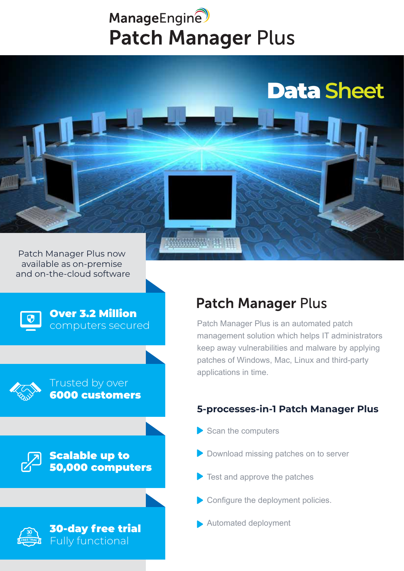# ManageEngine **Patch Manager Plus**





### Over 3.2 Million computers secured



Trusted by over 6000 customers

Scalable up to 50,000 computers



30-day free trial Fully functional

## **Patch Manager Plus**

Patch Manager Plus is an automated patch management solution which helps IT administrators keep away vulnerabilities and malware by applying patches of Windows, Mac, Linux and third-party applications in time.

Data Sheet Data **Sheet**

### **5-processes-in-1 Patch Manager Plus**

- Scan the computers
- **Download missing patches on to server**
- Test and approve the patches
- Configure the deployment policies.
- Automated deployment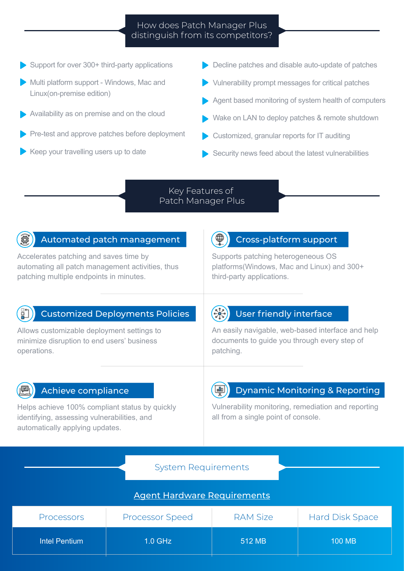### How does Patch Manager Plus distinguish from its competitors?

- Support for over 300+ third-party applications
- Multi platform support Windows, Mac and Linux(on-premise edition)
- Availability as on premise and on the cloud
- Pre-test and approve patches before deployment
- Keep your travelling users up to date
- Decline patches and disable auto-update of patches
- Vulnerability prompt messages for critical patches
- Agent based monitoring of system health of computers
- Wake on LAN to deploy patches & remote shutdown
- Customized, granular reports for IT auditing
- Security news feed about the latest vulnerabilities

### Key Features of Patch Manager Plus

### Automated patch management

Accelerates patching and saves time by automating all patch management activities, thus patching multiple endpoints in minutes.

### Cross-platform support

Supports patching heterogeneous OS platforms(Windows, Mac and Linux) and 300+ third-party applications.

### Customized Deployments Policies

Allows customizable deployment settings to minimize disruption to end users' business operations.

### User friendly interface

An easily navigable, web-based interface and help documents to guide you through every step of patching.

### Achieve compliance

Helps achieve 100% compliant status by quickly identifying, assessing vulnerabilities, and automatically applying updates.

### Dynamic Monitoring & Reporting

Vulnerability monitoring, remediation and reporting all from a single point of console.

### System Requirements

### Agent Hardware Requirements

| <b>Processors</b> | <b>Processor Speed</b> | <b>RAM Size</b> | <b>Hard Disk Space</b> |
|-------------------|------------------------|-----------------|------------------------|
| Intel Pentium     | $1.0$ GHz              | 512 MB          | 100 MB                 |